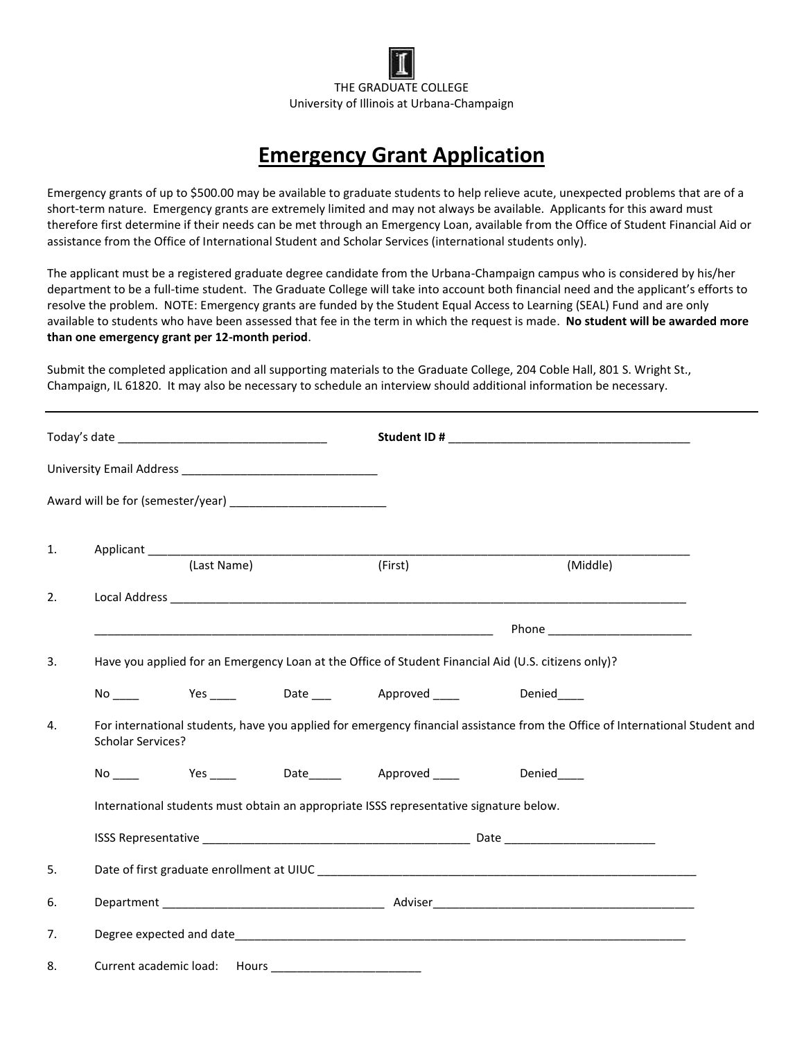

## **Emergency Grant Application**

Emergency grants of up to \$500.00 may be available to graduate students to help relieve acute, unexpected problems that are of a short-term nature. Emergency grants are extremely limited and may not always be available. Applicants for this award must therefore first determine if their needs can be met through an Emergency Loan, available from the Office of Student Financial Aid or assistance from the Office of International Student and Scholar Services (international students only).

The applicant must be a registered graduate degree candidate from the Urbana-Champaign campus who is considered by his/her department to be a full-time student. The Graduate College will take into account both financial need and the applicant's efforts to resolve the problem. NOTE: Emergency grants are funded by the Student Equal Access to Learning (SEAL) Fund and are only available to students who have been assessed that fee in the term in which the request is made. **No student will be awarded more than one emergency grant per 12-month period**.

Submit the completed application and all supporting materials to the Graduate College, 204 Coble Hall, 801 S. Wright St., Champaign, IL 61820. It may also be necessary to schedule an interview should additional information be necessary.

| 1. |                          |             |                                                                                        |                                                                                                                              |  |
|----|--------------------------|-------------|----------------------------------------------------------------------------------------|------------------------------------------------------------------------------------------------------------------------------|--|
|    |                          | (Last Name) | (First)                                                                                | (Middle)                                                                                                                     |  |
| 2. |                          |             |                                                                                        |                                                                                                                              |  |
|    |                          |             |                                                                                        |                                                                                                                              |  |
| 3. |                          |             |                                                                                        | Have you applied for an Emergency Loan at the Office of Student Financial Aid (U.S. citizens only)?                          |  |
|    |                          |             | No Yes ____ Date ___ Approved ____ Denied___                                           |                                                                                                                              |  |
| 4. | <b>Scholar Services?</b> |             |                                                                                        | For international students, have you applied for emergency financial assistance from the Office of International Student and |  |
|    |                          |             | No ____ Yes ____ Date_____ Approved ____ Denied____                                    |                                                                                                                              |  |
|    |                          |             | International students must obtain an appropriate ISSS representative signature below. |                                                                                                                              |  |
|    |                          |             |                                                                                        |                                                                                                                              |  |
| 5. |                          |             |                                                                                        |                                                                                                                              |  |
| 6. |                          |             |                                                                                        |                                                                                                                              |  |
| 7. |                          |             |                                                                                        |                                                                                                                              |  |
| 8. |                          |             |                                                                                        |                                                                                                                              |  |